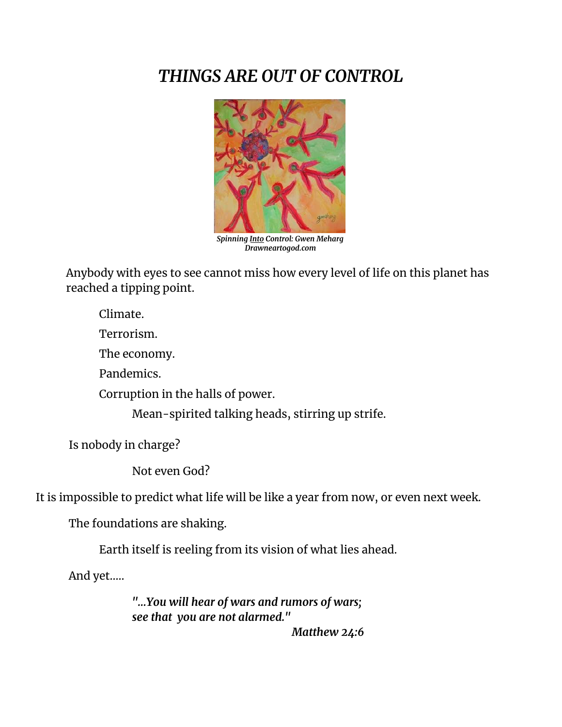## *THINGS ARE OUT OF CONTROL*



*Spinning Into Control: Gwen Meharg Drawneartogod.com*

Anybody with eyes to see cannot miss how every level of life on this planet has reached a tipping point.

Climate.

Terrorism.

The economy.

Pandemics.

Corruption in the halls of power.

Mean-spirited talking heads, stirring up strife.

Is nobody in charge?

Not even God?

It is impossible to predict what life will be like a year from now, or even next week.

The foundations are shaking.

Earth itself is reeling from its vision of what lies ahead.

And yet…..

*"…You will hear of wars and rumors of wars; see that you are not alarmed."*

*Matthew 24:6*